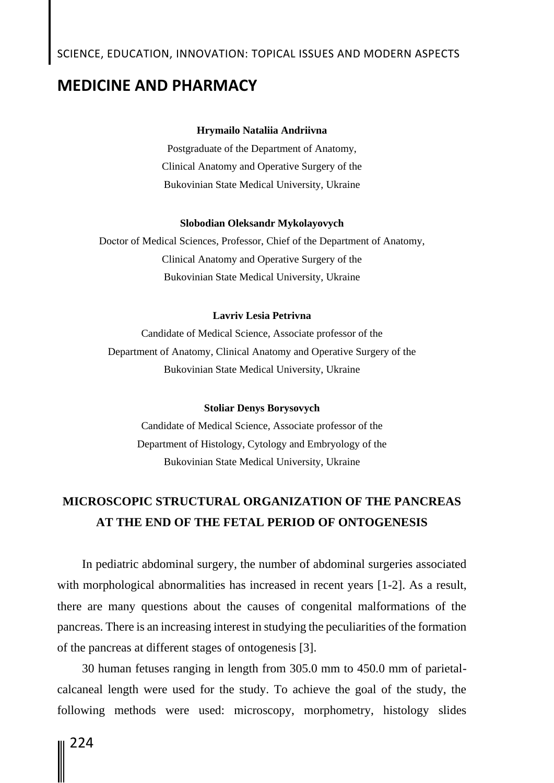# SCIENCE, EDUCATION, INNOVATION: TOPICAL ISSUES AND MODERN ASPECTS

### **MEDICINE AND PHARMACY**

#### **Hrymailo Nataliia Andriivna**

Postgraduate of the Department of Anatomy, Clinical Anatomy and Operative Surgery of the Bukovinian State Medical University, Ukraine

#### **Slobodian Oleksandr Mykolayovych**

Doсtor of Medical Sciences, Professor, Chief of the Department of Anatomy, Clinical Anatomy and Operative Surgery of the Bukovinian State Medical University, Ukraine

#### **Lavriv Lesia Petrivna**

Candidate of Medical Science, Associate professor of the Department of Anatomy, Clinical Anatomy and Operative Surgery of the Bukovinian State Medical University, Ukraine

#### **Stoliar Denys Borysovych**

Candidate of Medical Science, Associate professor of the Department of Histology, Cytology and Embryology of the Bukovinian State Medical University, Ukraine

## **MICROSCOPIC STRUCTURAL ORGANIZATION OF THE PANCREAS AT THE END OF THE FETAL PERIOD OF ONTOGENESIS**

In pediatric abdominal surgery, the number of abdominal surgeries associated with morphological abnormalities has increased in recent years [1-2]. As a result, there are many questions about the causes of congenital malformations of the pancreas. There is an increasing interest in studying the peculiarities of the formation of the pancreas at different stages of ontogenesis [3].

30 human fetuses ranging in length from 305.0 mm to 450.0 mm of parietalcalcaneal length were used for the study. To achieve the goal of the study, the following methods were used: microscopy, morphometry, histology slides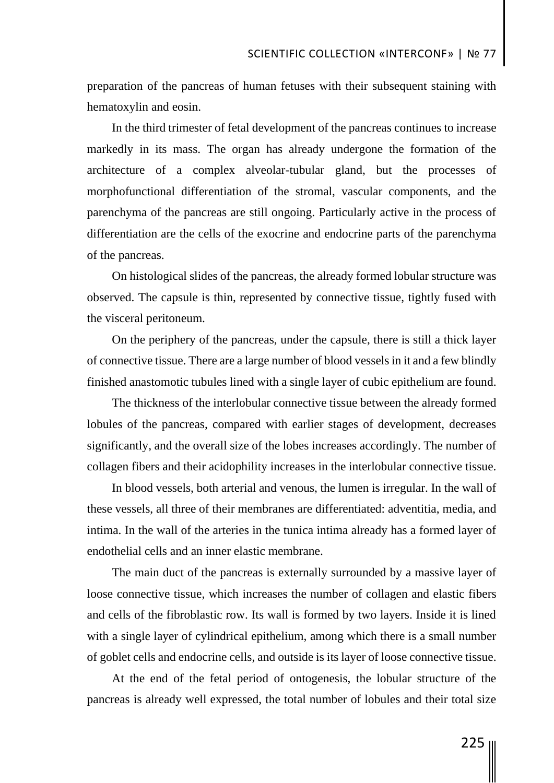preparation of the pancreas of human fetuses with their subsequent staining with hematoxylin and eosin.

In the third trimester of fetal development of the pancreas continues to increase markedly in its mass. The organ has already undergone the formation of the architecture of a complex alveolar-tubular gland, but the processes of morphofunctional differentiation of the stromal, vascular components, and the parenchyma of the pancreas are still ongoing. Particularly active in the process of differentiation are the cells of the exocrine and endocrine parts of the parenchyma of the pancreas.

On histological slides of the pancreas, the already formed lobular structure was observed. The capsule is thin, represented by connective tissue, tightly fused with the visceral peritoneum.

On the periphery of the pancreas, under the capsule, there is still a thick layer of connective tissue. There are a large number of blood vessels in it and a few blindly finished anastomotic tubules lined with a single layer of cubic epithelium are found.

The thickness of the interlobular connective tissue between the already formed lobules of the pancreas, compared with earlier stages of development, decreases significantly, and the overall size of the lobes increases accordingly. The number of collagen fibers and their acidophility increases in the interlobular connective tissue.

In blood vessels, both arterial and venous, the lumen is irregular. In the wall of these vessels, all three of their membranes are differentiated: adventitia, media, and intima. In the wall of the arteries in the tunica intima already has a formed layer of endothelial cells and an inner elastic membrane.

The main duct of the pancreas is externally surrounded by a massive layer of loose connective tissue, which increases the number of collagen and elastic fibers and cells of the fibroblastic row. Its wall is formed by two layers. Inside it is lined with a single layer of cylindrical epithelium, among which there is a small number of goblet cells and endocrine cells, and outside is its layer of loose connective tissue.

At the end of the fetal period of ontogenesis, the lobular structure of the pancreas is already well expressed, the total number of lobules and their total size